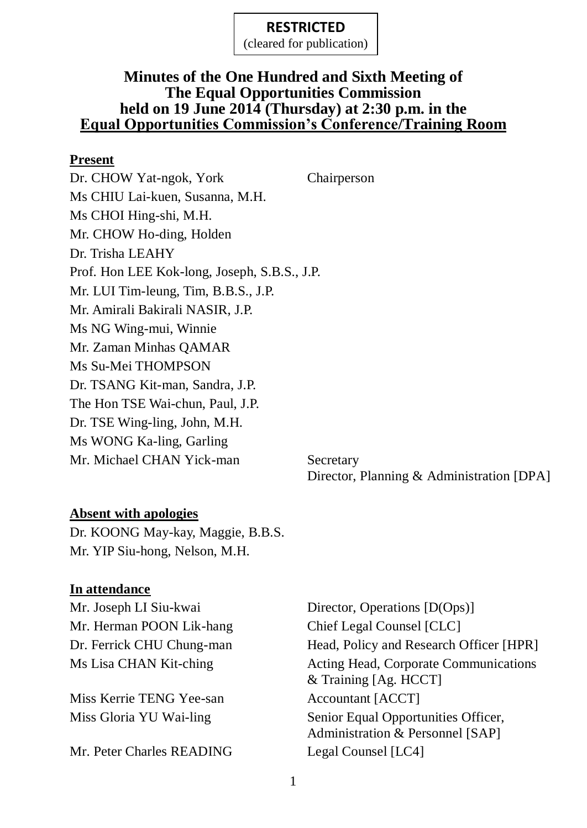(cleared for publication)

#### **Minutes of the One Hundred and Sixth Meeting of The Equal Opportunities Commission held on 19 June 2014 (Thursday) at 2:30 p.m. in the Equal Opportunities Commission's Conference/Training Room**

#### **Present**

Dr. CHOW Yat-ngok, York Chairperson Ms CHIU Lai-kuen, Susanna, M.H. Ms CHOI Hing-shi, M.H. Mr. CHOW Ho-ding, Holden Dr. Trisha LEAHY Prof. Hon LEE Kok-long, Joseph, S.B.S., J.P. Mr. LUI Tim-leung, Tim, B.B.S., J.P. Mr. Amirali Bakirali NASIR, J.P. Ms NG Wing-mui, Winnie Mr. Zaman Minhas QAMAR Ms Su-Mei THOMPSON Dr. TSANG Kit-man, Sandra, J.P. The Hon TSE Wai-chun, Paul, J.P. Dr. TSE Wing-ling, John, M.H. Ms WONG Ka-ling, Garling Mr. Michael CHAN Yick-man Secretary

Director, Planning & Administration [DPA]

### **Absent with apologies**

Dr. KOONG May-kay, Maggie, B.B.S. Mr. YIP Siu-hong, Nelson, M.H.

### **In attendance**

Mr. Herman POON Lik-hang Chief Legal Counsel [CLC]

Miss Kerrie TENG Yee-san Accountant [ACCT]

Mr. Peter Charles READING Legal Counsel [LC4]

Mr. Joseph LI Siu-kwai Director, Operations [D(Ops)] Dr. Ferrick CHU Chung-man Head, Policy and Research Officer [HPR] Ms Lisa CHAN Kit-ching **Acting Head, Corporate Communications** & Training [Ag. HCCT] Miss Gloria YU Wai-ling Senior Equal Opportunities Officer, Administration & Personnel [SAP]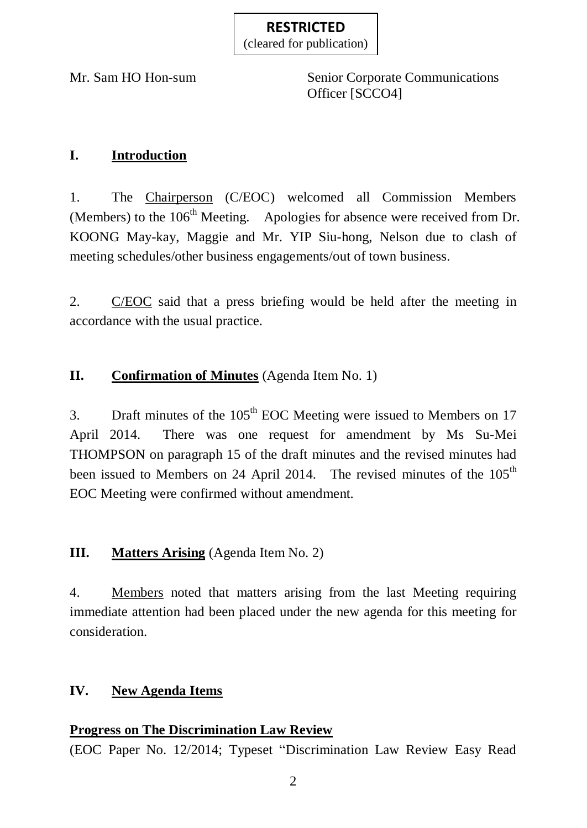(cleared for publication)

Mr. Sam HO Hon-sum Senior Corporate Communications Officer [SCCO4]

## **I. Introduction**

1. The Chairperson (C/EOC) welcomed all Commission Members (Members) to the  $106<sup>th</sup>$  Meeting. Apologies for absence were received from Dr. KOONG May-kay, Maggie and Mr. YIP Siu-hong, Nelson due to clash of meeting schedules/other business engagements/out of town business.

2. C/EOC said that a press briefing would be held after the meeting in accordance with the usual practice.

## **II. Confirmation of Minutes** (Agenda Item No. 1)

3. Draft minutes of the  $105<sup>th</sup>$  EOC Meeting were issued to Members on 17 April 2014. There was one request for amendment by Ms Su-Mei THOMPSON on paragraph 15 of the draft minutes and the revised minutes had been issued to Members on 24 April 2014. The revised minutes of the 105<sup>th</sup> EOC Meeting were confirmed without amendment.

### **III. Matters Arising** (Agenda Item No. 2)

4. Members noted that matters arising from the last Meeting requiring immediate attention had been placed under the new agenda for this meeting for consideration.

### **IV. New Agenda Items**

#### **Progress on The Discrimination Law Review**

(EOC Paper No. 12/2014; Typeset "Discrimination Law Review Easy Read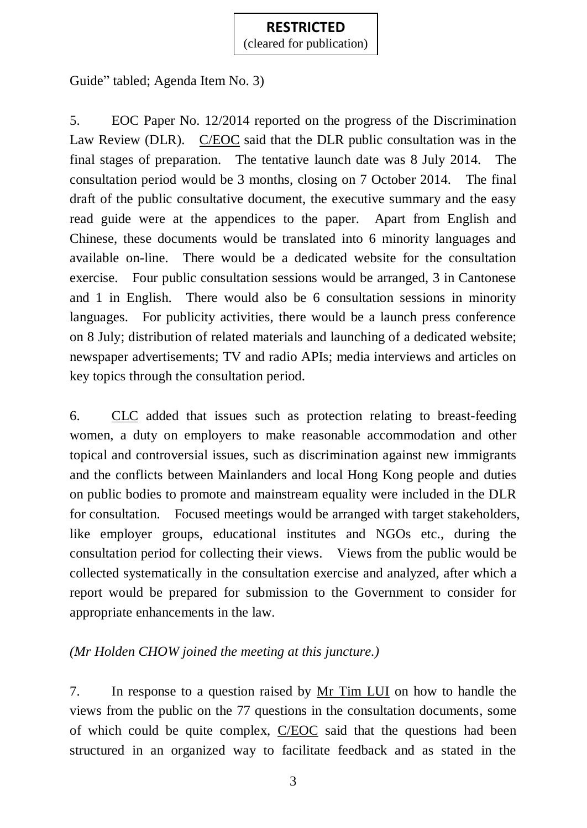(cleared for publication)

Guide" tabled; Agenda Item No. 3)

5. EOC Paper No. 12/2014 reported on the progress of the Discrimination Law Review (DLR). C/EOC said that the DLR public consultation was in the final stages of preparation. The tentative launch date was 8 July 2014. The consultation period would be 3 months, closing on 7 October 2014. The final draft of the public consultative document, the executive summary and the easy read guide were at the appendices to the paper. Apart from English and Chinese, these documents would be translated into 6 minority languages and available on-line. There would be a dedicated website for the consultation exercise. Four public consultation sessions would be arranged, 3 in Cantonese and 1 in English. There would also be 6 consultation sessions in minority languages. For publicity activities, there would be a launch press conference on 8 July; distribution of related materials and launching of a dedicated website; newspaper advertisements; TV and radio APIs; media interviews and articles on key topics through the consultation period.

6. CLC added that issues such as protection relating to breast-feeding women, a duty on employers to make reasonable accommodation and other topical and controversial issues, such as discrimination against new immigrants and the conflicts between Mainlanders and local Hong Kong people and duties on public bodies to promote and mainstream equality were included in the DLR for consultation. Focused meetings would be arranged with target stakeholders, like employer groups, educational institutes and NGOs etc., during the consultation period for collecting their views. Views from the public would be collected systematically in the consultation exercise and analyzed, after which a report would be prepared for submission to the Government to consider for appropriate enhancements in the law.

## *(Mr Holden CHOW joined the meeting at this juncture.)*

7. In response to a question raised by Mr Tim LUI on how to handle the views from the public on the 77 questions in the consultation documents, some of which could be quite complex, C/EOC said that the questions had been structured in an organized way to facilitate feedback and as stated in the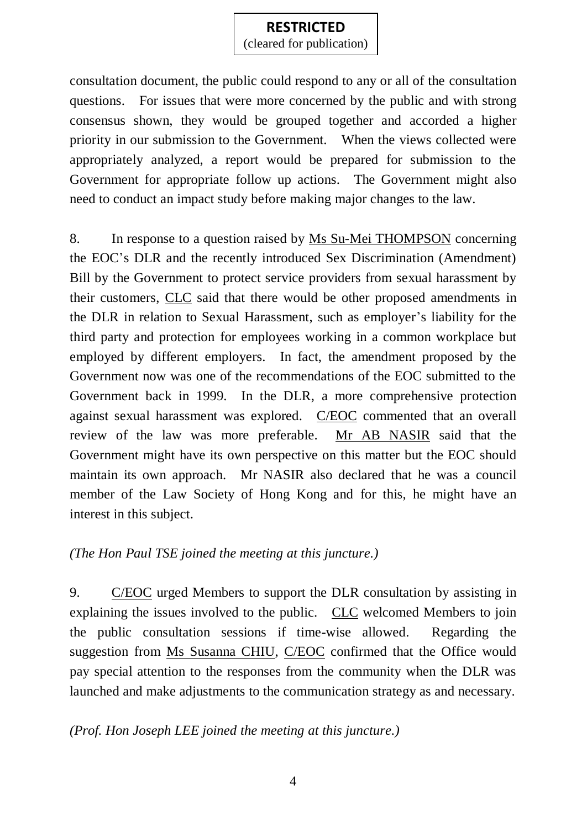(cleared for publication)

consultation document, the public could respond to any or all of the consultation questions. For issues that were more concerned by the public and with strong consensus shown, they would be grouped together and accorded a higher priority in our submission to the Government. When the views collected were appropriately analyzed, a report would be prepared for submission to the Government for appropriate follow up actions. The Government might also need to conduct an impact study before making major changes to the law.

8. In response to a question raised by Ms Su-Mei THOMPSON concerning the EOC's DLR and the recently introduced Sex Discrimination (Amendment) Bill by the Government to protect service providers from sexual harassment by their customers, CLC said that there would be other proposed amendments in the DLR in relation to Sexual Harassment, such as employer's liability for the third party and protection for employees working in a common workplace but employed by different employers. In fact, the amendment proposed by the Government now was one of the recommendations of the EOC submitted to the Government back in 1999. In the DLR, a more comprehensive protection against sexual harassment was explored. C/EOC commented that an overall review of the law was more preferable. Mr AB NASIR said that the Government might have its own perspective on this matter but the EOC should maintain its own approach. Mr NASIR also declared that he was a council member of the Law Society of Hong Kong and for this, he might have an interest in this subject.

### *(The Hon Paul TSE joined the meeting at this juncture.)*

9. C/EOC urged Members to support the DLR consultation by assisting in explaining the issues involved to the public. CLC welcomed Members to join the public consultation sessions if time-wise allowed. Regarding the suggestion from Ms Susanna CHIU, C/EOC confirmed that the Office would pay special attention to the responses from the community when the DLR was launched and make adjustments to the communication strategy as and necessary.

#### *(Prof. Hon Joseph LEE joined the meeting at this juncture.)*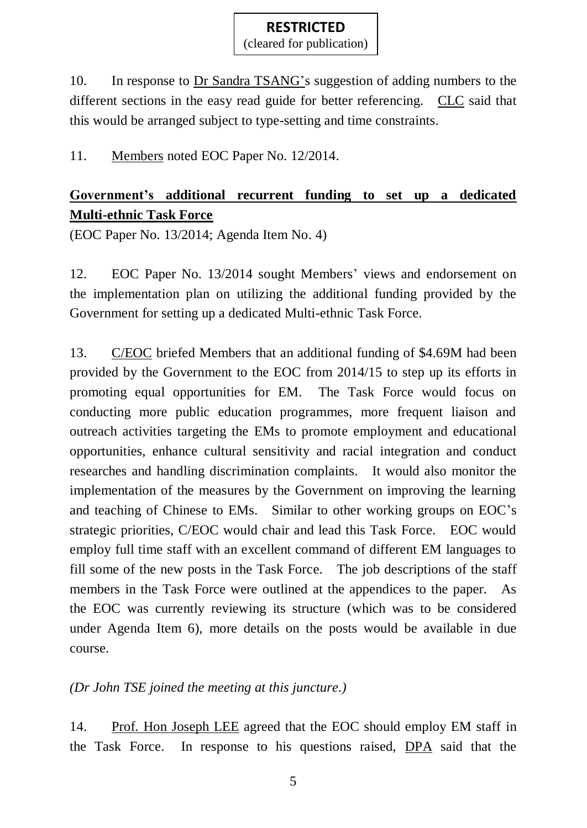(cleared for publication)

10. In response to Dr Sandra TSANG's suggestion of adding numbers to the different sections in the easy read guide for better referencing. CLC said that this would be arranged subject to type-setting and time constraints.

11. Members noted EOC Paper No. 12/2014.

# **Government's additional recurrent funding to set up a dedicated Multi-ethnic Task Force**

(EOC Paper No. 13/2014; Agenda Item No. 4)

12. EOC Paper No. 13/2014 sought Members' views and endorsement on the implementation plan on utilizing the additional funding provided by the Government for setting up a dedicated Multi-ethnic Task Force.

13. C/EOC briefed Members that an additional funding of \$4.69M had been provided by the Government to the EOC from 2014/15 to step up its efforts in promoting equal opportunities for EM. The Task Force would focus on conducting more public education programmes, more frequent liaison and outreach activities targeting the EMs to promote employment and educational opportunities, enhance cultural sensitivity and racial integration and conduct researches and handling discrimination complaints. It would also monitor the implementation of the measures by the Government on improving the learning and teaching of Chinese to EMs. Similar to other working groups on EOC's strategic priorities, C/EOC would chair and lead this Task Force. EOC would employ full time staff with an excellent command of different EM languages to fill some of the new posts in the Task Force. The job descriptions of the staff members in the Task Force were outlined at the appendices to the paper. As the EOC was currently reviewing its structure (which was to be considered under Agenda Item 6), more details on the posts would be available in due course.

*(Dr John TSE joined the meeting at this juncture.)*

14. Prof. Hon Joseph LEE agreed that the EOC should employ EM staff in the Task Force. In response to his questions raised, DPA said that the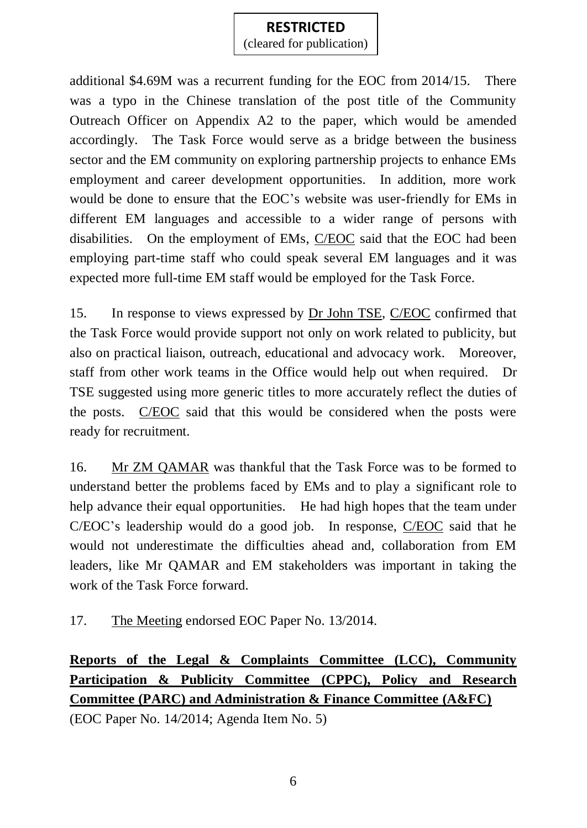(cleared for publication)

additional \$4.69M was a recurrent funding for the EOC from 2014/15. There was a typo in the Chinese translation of the post title of the Community Outreach Officer on Appendix A2 to the paper, which would be amended accordingly. The Task Force would serve as a bridge between the business sector and the EM community on exploring partnership projects to enhance EMs employment and career development opportunities. In addition, more work would be done to ensure that the EOC's website was user-friendly for EMs in different EM languages and accessible to a wider range of persons with disabilities. On the employment of EMs, C/EOC said that the EOC had been employing part-time staff who could speak several EM languages and it was expected more full-time EM staff would be employed for the Task Force.

15. In response to views expressed by Dr John TSE, C/EOC confirmed that the Task Force would provide support not only on work related to publicity, but also on practical liaison, outreach, educational and advocacy work. Moreover, staff from other work teams in the Office would help out when required. Dr TSE suggested using more generic titles to more accurately reflect the duties of the posts. C/EOC said that this would be considered when the posts were ready for recruitment.

16. Mr ZM QAMAR was thankful that the Task Force was to be formed to understand better the problems faced by EMs and to play a significant role to help advance their equal opportunities. He had high hopes that the team under C/EOC's leadership would do a good job. In response, C/EOC said that he would not underestimate the difficulties ahead and, collaboration from EM leaders, like Mr QAMAR and EM stakeholders was important in taking the work of the Task Force forward.

17. The Meeting endorsed EOC Paper No. 13/2014.

**Reports of the Legal & Complaints Committee (LCC), Community Participation & Publicity Committee (CPPC), Policy and Research Committee (PARC) and Administration & Finance Committee (A&FC)** (EOC Paper No. 14/2014; Agenda Item No. 5)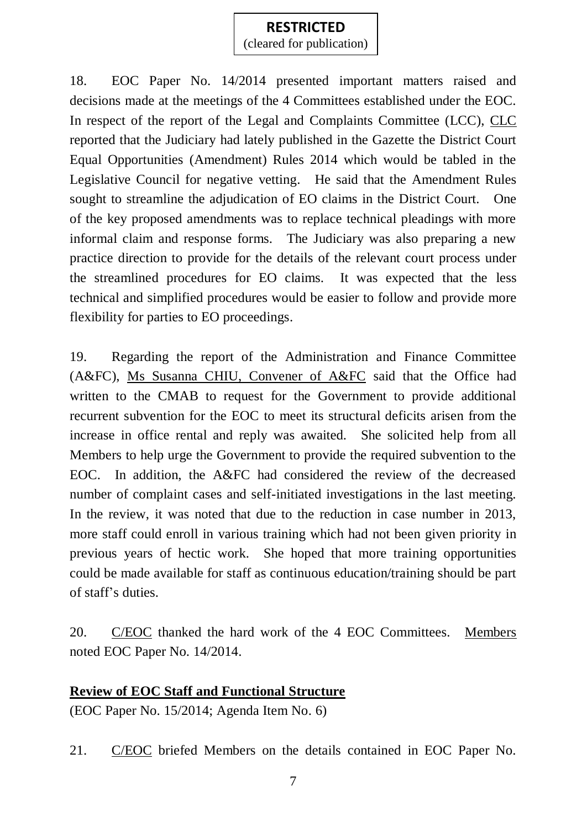(cleared for publication)

18. EOC Paper No. 14/2014 presented important matters raised and decisions made at the meetings of the 4 Committees established under the EOC. In respect of the report of the Legal and Complaints Committee (LCC), CLC reported that the Judiciary had lately published in the Gazette the District Court Equal Opportunities (Amendment) Rules 2014 which would be tabled in the Legislative Council for negative vetting. He said that the Amendment Rules sought to streamline the adjudication of EO claims in the District Court. One of the key proposed amendments was to replace technical pleadings with more informal claim and response forms. The Judiciary was also preparing a new practice direction to provide for the details of the relevant court process under the streamlined procedures for EO claims. It was expected that the less technical and simplified procedures would be easier to follow and provide more flexibility for parties to EO proceedings.

19. Regarding the report of the Administration and Finance Committee (A&FC), Ms Susanna CHIU, Convener of A&FC said that the Office had written to the CMAB to request for the Government to provide additional recurrent subvention for the EOC to meet its structural deficits arisen from the increase in office rental and reply was awaited. She solicited help from all Members to help urge the Government to provide the required subvention to the EOC. In addition, the A&FC had considered the review of the decreased number of complaint cases and self-initiated investigations in the last meeting. In the review, it was noted that due to the reduction in case number in 2013, more staff could enroll in various training which had not been given priority in previous years of hectic work. She hoped that more training opportunities could be made available for staff as continuous education/training should be part of staff's duties.

20. C/EOC thanked the hard work of the 4 EOC Committees. Members noted EOC Paper No. 14/2014.

### **Review of EOC Staff and Functional Structure**

(EOC Paper No. 15/2014; Agenda Item No. 6)

21. C/EOC briefed Members on the details contained in EOC Paper No.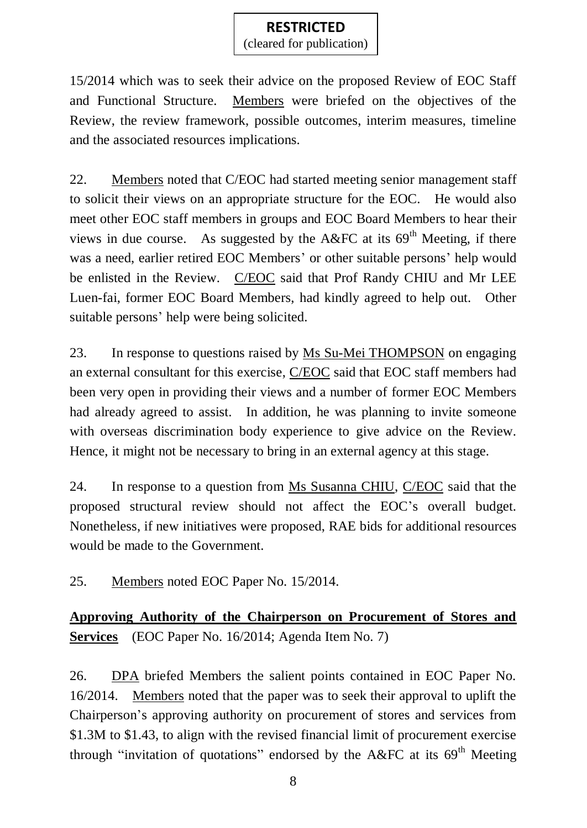(cleared for publication)

15/2014 which was to seek their advice on the proposed Review of EOC Staff and Functional Structure. Members were briefed on the objectives of the Review, the review framework, possible outcomes, interim measures, timeline and the associated resources implications.

22. Members noted that C/EOC had started meeting senior management staff to solicit their views on an appropriate structure for the EOC. He would also meet other EOC staff members in groups and EOC Board Members to hear their views in due course. As suggested by the A&FC at its  $69<sup>th</sup>$  Meeting, if there was a need, earlier retired EOC Members' or other suitable persons' help would be enlisted in the Review. C/EOC said that Prof Randy CHIU and Mr LEE Luen-fai, former EOC Board Members, had kindly agreed to help out. Other suitable persons' help were being solicited.

23. In response to questions raised by Ms Su-Mei THOMPSON on engaging an external consultant for this exercise, C/EOC said that EOC staff members had been very open in providing their views and a number of former EOC Members had already agreed to assist. In addition, he was planning to invite someone with overseas discrimination body experience to give advice on the Review. Hence, it might not be necessary to bring in an external agency at this stage.

24. In response to a question from Ms Susanna CHIU, C/EOC said that the proposed structural review should not affect the EOC's overall budget. Nonetheless, if new initiatives were proposed, RAE bids for additional resources would be made to the Government.

25. Members noted EOC Paper No. 15/2014.

**Approving Authority of the Chairperson on Procurement of Stores and Services** (EOC Paper No. 16/2014; Agenda Item No. 7)

26. DPA briefed Members the salient points contained in EOC Paper No. 16/2014. Members noted that the paper was to seek their approval to uplift the Chairperson's approving authority on procurement of stores and services from \$1.3M to \$1.43, to align with the revised financial limit of procurement exercise through "invitation of quotations" endorsed by the A&FC at its  $69<sup>th</sup>$  Meeting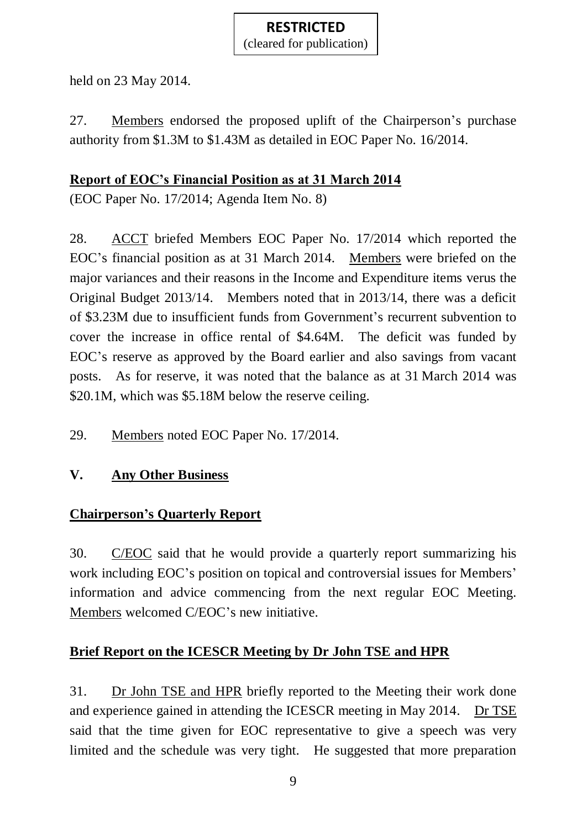(cleared for publication)

held on 23 May 2014.

27. Members endorsed the proposed uplift of the Chairperson's purchase authority from \$1.3M to \$1.43M as detailed in EOC Paper No. 16/2014.

## **Report of EOC's Financial Position as at 31 March 2014**

(EOC Paper No. 17/2014; Agenda Item No. 8)

28. ACCT briefed Members EOC Paper No. 17/2014 which reported the EOC's financial position as at 31 March 2014. Members were briefed on the major variances and their reasons in the Income and Expenditure items verus the Original Budget 2013/14. Members noted that in 2013/14, there was a deficit of \$3.23M due to insufficient funds from Government's recurrent subvention to cover the increase in office rental of \$4.64M. The deficit was funded by EOC's reserve as approved by the Board earlier and also savings from vacant posts. As for reserve, it was noted that the balance as at 31 March 2014 was \$20.1M, which was \$5.18M below the reserve ceiling.

29. Members noted EOC Paper No. 17/2014.

# **V. Any Other Business**

# **Chairperson's Quarterly Report**

30. C/EOC said that he would provide a quarterly report summarizing his work including EOC's position on topical and controversial issues for Members' information and advice commencing from the next regular EOC Meeting. Members welcomed C/EOC's new initiative.

# **Brief Report on the ICESCR Meeting by Dr John TSE and HPR**

31. Dr John TSE and HPR briefly reported to the Meeting their work done and experience gained in attending the ICESCR meeting in May 2014. Dr TSE said that the time given for EOC representative to give a speech was very limited and the schedule was very tight. He suggested that more preparation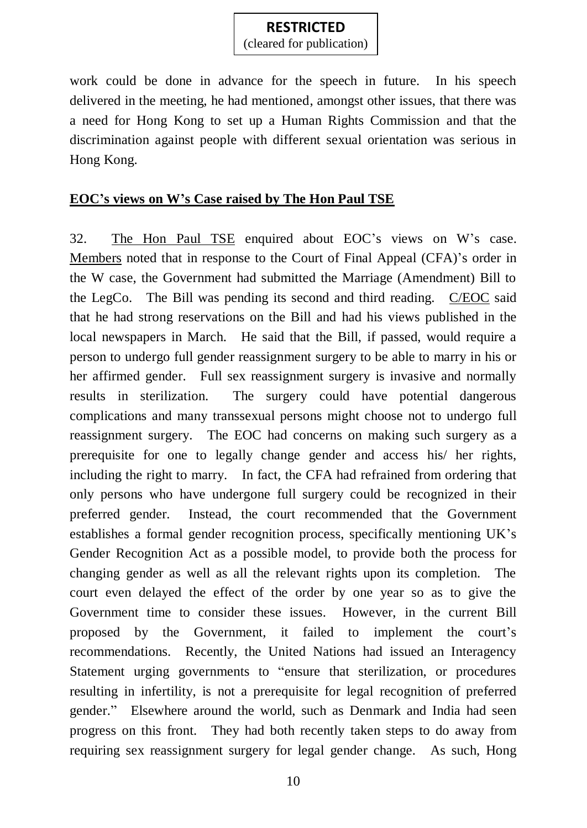(cleared for publication)

work could be done in advance for the speech in future. In his speech delivered in the meeting, he had mentioned, amongst other issues, that there was a need for Hong Kong to set up a Human Rights Commission and that the discrimination against people with different sexual orientation was serious in Hong Kong.

#### **EOC's views on W's Case raised by The Hon Paul TSE**

32. The Hon Paul TSE enquired about EOC's views on W's case. Members noted that in response to the Court of Final Appeal (CFA)'s order in the W case, the Government had submitted the Marriage (Amendment) Bill to the LegCo. The Bill was pending its second and third reading. C/EOC said that he had strong reservations on the Bill and had his views published in the local newspapers in March. He said that the Bill, if passed, would require a person to undergo full gender reassignment surgery to be able to marry in his or her affirmed gender. Full sex reassignment surgery is invasive and normally results in sterilization. The surgery could have potential dangerous complications and many transsexual persons might choose not to undergo full reassignment surgery. The EOC had concerns on making such surgery as a prerequisite for one to legally change gender and access his/ her rights, including the right to marry. In fact, the CFA had refrained from ordering that only persons who have undergone full surgery could be recognized in their preferred gender. Instead, the court recommended that the Government establishes a formal gender recognition process, specifically mentioning UK's Gender Recognition Act as a possible model, to provide both the process for changing gender as well as all the relevant rights upon its completion. The court even delayed the effect of the order by one year so as to give the Government time to consider these issues. However, in the current Bill proposed by the Government, it failed to implement the court's recommendations. Recently, the United Nations had issued an Interagency Statement urging governments to "ensure that sterilization, or procedures resulting in infertility, is not a prerequisite for legal recognition of preferred gender." Elsewhere around the world, such as Denmark and India had seen progress on this front. They had both recently taken steps to do away from requiring sex reassignment surgery for legal gender change. As such, Hong